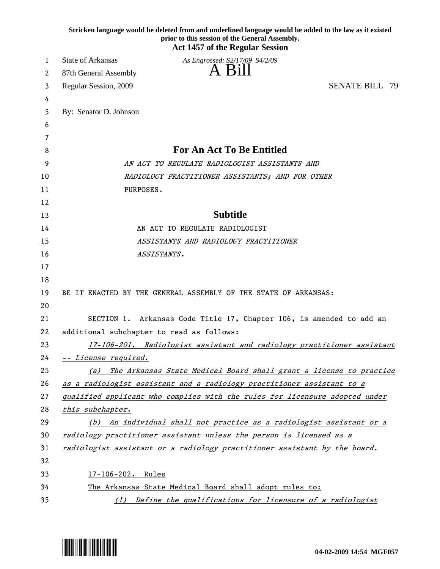|          | Stricken language would be deleted from and underlined language would be added to the law as it existed<br>prior to this session of the General Assembly.<br><b>Act 1457 of the Regular Session</b> |                                                                      |
|----------|-----------------------------------------------------------------------------------------------------------------------------------------------------------------------------------------------------|----------------------------------------------------------------------|
| 1        | <b>State of Arkansas</b><br>As Engrossed: S2/17/09 S4/2/09                                                                                                                                          |                                                                      |
| 2        | 87th General Assembly                                                                                                                                                                               | <b>Bill</b>                                                          |
| 3        | Regular Session, 2009                                                                                                                                                                               | <b>SENATE BILL 79</b>                                                |
| 4        |                                                                                                                                                                                                     |                                                                      |
| 5        | By: Senator D. Johnson                                                                                                                                                                              |                                                                      |
| 6        |                                                                                                                                                                                                     |                                                                      |
| 7        |                                                                                                                                                                                                     |                                                                      |
| 8        | For An Act To Be Entitled                                                                                                                                                                           |                                                                      |
| 9        | AN ACT TO REGULATE RADIOLOGIST ASSISTANTS AND                                                                                                                                                       |                                                                      |
| 10       | RADIOLOGY PRACTITIONER ASSISTANTS; AND FOR OTHER                                                                                                                                                    |                                                                      |
| 11       | PURPOSES.                                                                                                                                                                                           |                                                                      |
| 12       |                                                                                                                                                                                                     |                                                                      |
| 13       | <b>Subtitle</b>                                                                                                                                                                                     |                                                                      |
| 14       | AN ACT TO REGULATE RADIOLOGIST                                                                                                                                                                      |                                                                      |
| 15       | ASSISTANTS AND RADIOLOGY PRACTITIONER                                                                                                                                                               |                                                                      |
| 16       | ASSISTANTS.                                                                                                                                                                                         |                                                                      |
| 17       |                                                                                                                                                                                                     |                                                                      |
| 18       |                                                                                                                                                                                                     |                                                                      |
| 19       | BE IT ENACTED BY THE GENERAL ASSEMBLY OF THE STATE OF ARKANSAS:                                                                                                                                     |                                                                      |
| 20       |                                                                                                                                                                                                     |                                                                      |
| 21<br>22 | SECTION 1. Arkansas Code Title 17, Chapter 106, is amended to add an                                                                                                                                |                                                                      |
| 23       | additional subchapter to read as follows:<br>17-106-201. Radiologist assistant and radiology practitioner assistant                                                                                 |                                                                      |
| 24       | -- License required.                                                                                                                                                                                |                                                                      |
| 25       | (a)                                                                                                                                                                                                 | The Arkansas State Medical Board shall grant a license to practice   |
| 26       |                                                                                                                                                                                                     |                                                                      |
| 27       | as a radiologist assistant and a radiology practitioner assistant to a<br>qualified applicant who complies with the rules for licensure adopted under                                               |                                                                      |
| 28       | this subchapter.                                                                                                                                                                                    |                                                                      |
| 29       |                                                                                                                                                                                                     | (b) An individual shall not practice as a radiologist assistant or a |
| 30       | radiology practitioner assistant unless the person is licensed as a                                                                                                                                 |                                                                      |
| 31       | radiologist assistant or a radiology practitioner assistant by the board.                                                                                                                           |                                                                      |
| 32       |                                                                                                                                                                                                     |                                                                      |
| 33       | $17 - 106 - 202$ .<br>Rules                                                                                                                                                                         |                                                                      |
| 34       | The Arkansas State Medical Board shall adopt rules to:                                                                                                                                              |                                                                      |
| 35       | Define the qualifications for licensure of a radiologist<br>(1)                                                                                                                                     |                                                                      |

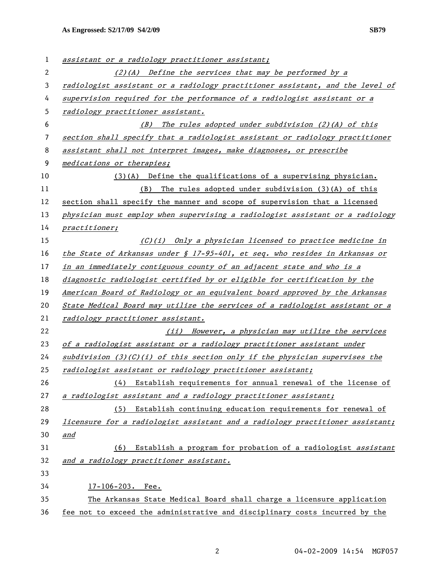| 1  | assistant or a radiology practitioner assistant;                              |  |
|----|-------------------------------------------------------------------------------|--|
| 2  | $(2)(A)$ Define the services that may be performed by a                       |  |
| 3  | radiologist assistant or a radiology practitioner assistant, and the level of |  |
| 4  | supervision required for the performance of a radiologist assistant or a      |  |
| 5  | radiology practitioner assistant.                                             |  |
| 6  | (B) The rules adopted under subdivision (2)(A) of this                        |  |
| 7  | section shall specify that a radiologist assistant or radiology practitioner  |  |
| 8  | assistant shall not interpret images, make diagnoses, or prescribe            |  |
| 9  | medications or therapies;                                                     |  |
| 10 | $(3)(A)$ Define the qualifications of a supervising physician.                |  |
| 11 | (B) The rules adopted under subdivision (3)(A) of this                        |  |
| 12 | section shall specify the manner and scope of supervision that a licensed     |  |
| 13 | physician must employ when supervising a radiologist assistant or a radiology |  |
| 14 | practitioner;                                                                 |  |
| 15 | (C)(i) Only a physician licensed to practice medicine in                      |  |
| 16 | the State of Arkansas under § 17-95-401, et seq. who resides in Arkansas or   |  |
| 17 | in an immediately contiguous county of an adjacent state and who is a         |  |
| 18 | diagnostic radiologist certified by or eligible for certification by the      |  |
| 19 | American Board of Radiology or an equivalent board approved by the Arkansas   |  |
| 20 | State Medical Board may utilize the services of a radiologist assistant or a  |  |
| 21 | radiology practitioner assistant.                                             |  |
| 22 | (ii) However, a physician may utilize the services                            |  |
| 23 | of a radiologist assistant or a radiology practitioner assistant under        |  |
| 24 | subdivision $(3)(C)(i)$ of this section only if the physician supervises the  |  |
| 25 | radiologist assistant or radiology practitioner assistant;                    |  |
| 26 | Establish requirements for annual renewal of the license of<br>(4)            |  |
| 27 | a radiologist assistant and a radiology practitioner assistant;               |  |
| 28 | Establish continuing education requirements for renewal of<br>(5)             |  |
| 29 | licensure for a radiologist assistant and a radiology practitioner assistant; |  |
| 30 | and                                                                           |  |
| 31 | Establish a program for probation of a radiologist assistant<br>(6)           |  |
| 32 | and a radiology practitioner assistant.                                       |  |
| 33 |                                                                               |  |
| 34 | $17 - 106 - 203$ . Fee.                                                       |  |
| 35 | The Arkansas State Medical Board shall charge a licensure application         |  |
| 36 | fee not to exceed the administrative and disciplinary costs incurred by the   |  |